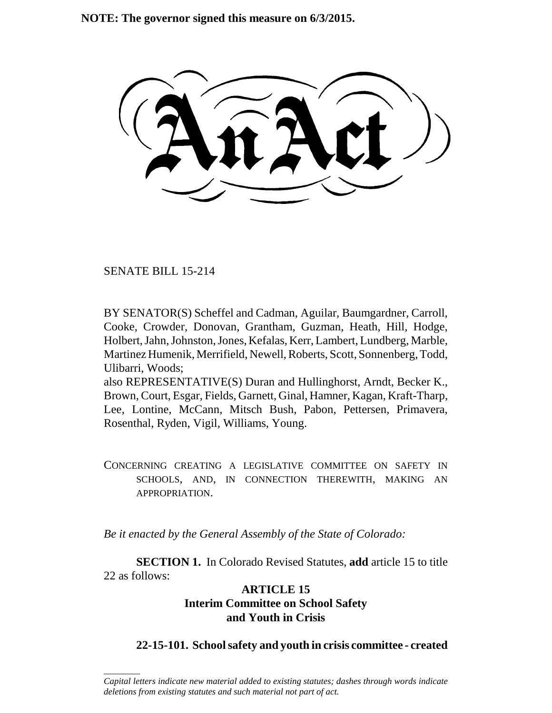**NOTE: The governor signed this measure on 6/3/2015.**

SENATE BILL 15-214

\_\_\_\_\_\_\_\_

BY SENATOR(S) Scheffel and Cadman, Aguilar, Baumgardner, Carroll, Cooke, Crowder, Donovan, Grantham, Guzman, Heath, Hill, Hodge, Holbert, Jahn, Johnston, Jones, Kefalas, Kerr, Lambert, Lundberg, Marble, Martinez Humenik, Merrifield, Newell, Roberts, Scott, Sonnenberg, Todd, Ulibarri, Woods;

also REPRESENTATIVE(S) Duran and Hullinghorst, Arndt, Becker K., Brown, Court, Esgar, Fields, Garnett, Ginal, Hamner, Kagan, Kraft-Tharp, Lee, Lontine, McCann, Mitsch Bush, Pabon, Pettersen, Primavera, Rosenthal, Ryden, Vigil, Williams, Young.

CONCERNING CREATING A LEGISLATIVE COMMITTEE ON SAFETY IN SCHOOLS, AND, IN CONNECTION THEREWITH, MAKING AN APPROPRIATION.

*Be it enacted by the General Assembly of the State of Colorado:*

**SECTION 1.** In Colorado Revised Statutes, **add** article 15 to title 22 as follows:

## **ARTICLE 15 Interim Committee on School Safety and Youth in Crisis**

## **22-15-101. School safety and youth in crisis committee - created**

*Capital letters indicate new material added to existing statutes; dashes through words indicate deletions from existing statutes and such material not part of act.*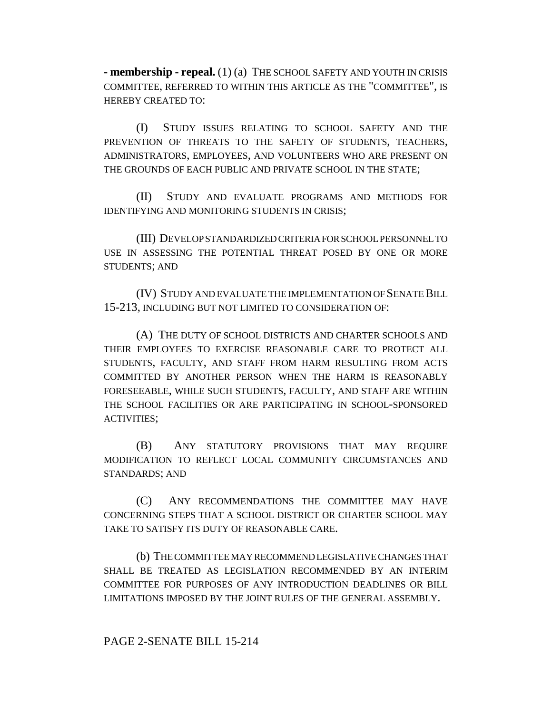**- membership - repeal.** (1) (a) THE SCHOOL SAFETY AND YOUTH IN CRISIS COMMITTEE, REFERRED TO WITHIN THIS ARTICLE AS THE "COMMITTEE", IS HEREBY CREATED TO:

(I) STUDY ISSUES RELATING TO SCHOOL SAFETY AND THE PREVENTION OF THREATS TO THE SAFETY OF STUDENTS, TEACHERS, ADMINISTRATORS, EMPLOYEES, AND VOLUNTEERS WHO ARE PRESENT ON THE GROUNDS OF EACH PUBLIC AND PRIVATE SCHOOL IN THE STATE;

(II) STUDY AND EVALUATE PROGRAMS AND METHODS FOR IDENTIFYING AND MONITORING STUDENTS IN CRISIS;

(III) DEVELOP STANDARDIZED CRITERIA FOR SCHOOL PERSONNEL TO USE IN ASSESSING THE POTENTIAL THREAT POSED BY ONE OR MORE STUDENTS; AND

(IV) STUDY AND EVALUATE THE IMPLEMENTATION OF SENATE BILL 15-213, INCLUDING BUT NOT LIMITED TO CONSIDERATION OF:

(A) THE DUTY OF SCHOOL DISTRICTS AND CHARTER SCHOOLS AND THEIR EMPLOYEES TO EXERCISE REASONABLE CARE TO PROTECT ALL STUDENTS, FACULTY, AND STAFF FROM HARM RESULTING FROM ACTS COMMITTED BY ANOTHER PERSON WHEN THE HARM IS REASONABLY FORESEEABLE, WHILE SUCH STUDENTS, FACULTY, AND STAFF ARE WITHIN THE SCHOOL FACILITIES OR ARE PARTICIPATING IN SCHOOL-SPONSORED ACTIVITIES;

(B) ANY STATUTORY PROVISIONS THAT MAY REQUIRE MODIFICATION TO REFLECT LOCAL COMMUNITY CIRCUMSTANCES AND STANDARDS; AND

(C) ANY RECOMMENDATIONS THE COMMITTEE MAY HAVE CONCERNING STEPS THAT A SCHOOL DISTRICT OR CHARTER SCHOOL MAY TAKE TO SATISFY ITS DUTY OF REASONABLE CARE.

(b) THE COMMITTEE MAY RECOMMEND LEGISLATIVE CHANGES THAT SHALL BE TREATED AS LEGISLATION RECOMMENDED BY AN INTERIM COMMITTEE FOR PURPOSES OF ANY INTRODUCTION DEADLINES OR BILL LIMITATIONS IMPOSED BY THE JOINT RULES OF THE GENERAL ASSEMBLY.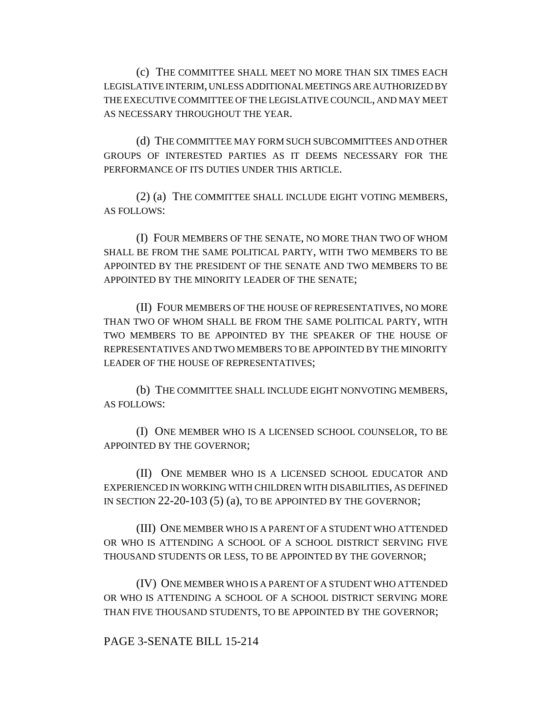(c) THE COMMITTEE SHALL MEET NO MORE THAN SIX TIMES EACH LEGISLATIVE INTERIM, UNLESS ADDITIONAL MEETINGS ARE AUTHORIZED BY THE EXECUTIVE COMMITTEE OF THE LEGISLATIVE COUNCIL, AND MAY MEET AS NECESSARY THROUGHOUT THE YEAR.

(d) THE COMMITTEE MAY FORM SUCH SUBCOMMITTEES AND OTHER GROUPS OF INTERESTED PARTIES AS IT DEEMS NECESSARY FOR THE PERFORMANCE OF ITS DUTIES UNDER THIS ARTICLE.

(2) (a) THE COMMITTEE SHALL INCLUDE EIGHT VOTING MEMBERS, AS FOLLOWS:

(I) FOUR MEMBERS OF THE SENATE, NO MORE THAN TWO OF WHOM SHALL BE FROM THE SAME POLITICAL PARTY, WITH TWO MEMBERS TO BE APPOINTED BY THE PRESIDENT OF THE SENATE AND TWO MEMBERS TO BE APPOINTED BY THE MINORITY LEADER OF THE SENATE;

(II) FOUR MEMBERS OF THE HOUSE OF REPRESENTATIVES, NO MORE THAN TWO OF WHOM SHALL BE FROM THE SAME POLITICAL PARTY, WITH TWO MEMBERS TO BE APPOINTED BY THE SPEAKER OF THE HOUSE OF REPRESENTATIVES AND TWO MEMBERS TO BE APPOINTED BY THE MINORITY LEADER OF THE HOUSE OF REPRESENTATIVES;

(b) THE COMMITTEE SHALL INCLUDE EIGHT NONVOTING MEMBERS, AS FOLLOWS:

(I) ONE MEMBER WHO IS A LICENSED SCHOOL COUNSELOR, TO BE APPOINTED BY THE GOVERNOR;

(II) ONE MEMBER WHO IS A LICENSED SCHOOL EDUCATOR AND EXPERIENCED IN WORKING WITH CHILDREN WITH DISABILITIES, AS DEFINED IN SECTION 22-20-103 (5) (a), TO BE APPOINTED BY THE GOVERNOR;

(III) ONE MEMBER WHO IS A PARENT OF A STUDENT WHO ATTENDED OR WHO IS ATTENDING A SCHOOL OF A SCHOOL DISTRICT SERVING FIVE THOUSAND STUDENTS OR LESS, TO BE APPOINTED BY THE GOVERNOR;

(IV) ONE MEMBER WHO IS A PARENT OF A STUDENT WHO ATTENDED OR WHO IS ATTENDING A SCHOOL OF A SCHOOL DISTRICT SERVING MORE THAN FIVE THOUSAND STUDENTS, TO BE APPOINTED BY THE GOVERNOR;

## PAGE 3-SENATE BILL 15-214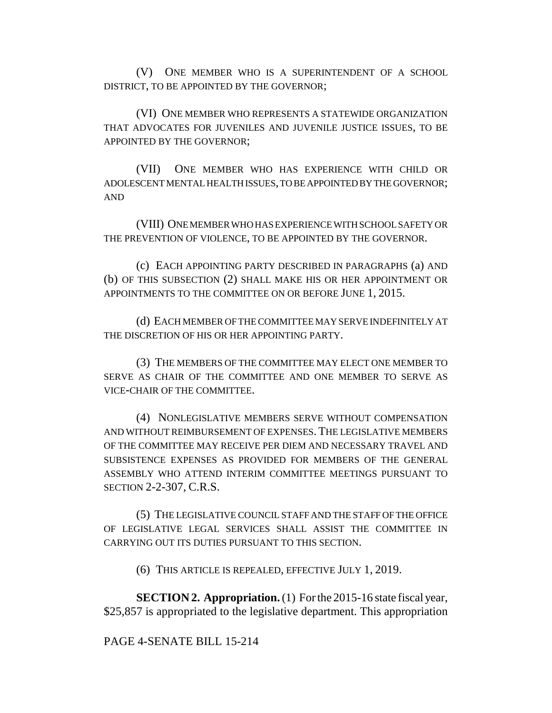(V) ONE MEMBER WHO IS A SUPERINTENDENT OF A SCHOOL DISTRICT, TO BE APPOINTED BY THE GOVERNOR;

(VI) ONE MEMBER WHO REPRESENTS A STATEWIDE ORGANIZATION THAT ADVOCATES FOR JUVENILES AND JUVENILE JUSTICE ISSUES, TO BE APPOINTED BY THE GOVERNOR;

(VII) ONE MEMBER WHO HAS EXPERIENCE WITH CHILD OR ADOLESCENT MENTAL HEALTH ISSUES, TO BE APPOINTED BY THE GOVERNOR; AND

(VIII) ONE MEMBER WHO HAS EXPERIENCE WITH SCHOOL SAFETY OR THE PREVENTION OF VIOLENCE, TO BE APPOINTED BY THE GOVERNOR.

(c) EACH APPOINTING PARTY DESCRIBED IN PARAGRAPHS (a) AND (b) OF THIS SUBSECTION (2) SHALL MAKE HIS OR HER APPOINTMENT OR APPOINTMENTS TO THE COMMITTEE ON OR BEFORE JUNE 1, 2015.

(d) EACH MEMBER OF THE COMMITTEE MAY SERVE INDEFINITELY AT THE DISCRETION OF HIS OR HER APPOINTING PARTY.

(3) THE MEMBERS OF THE COMMITTEE MAY ELECT ONE MEMBER TO SERVE AS CHAIR OF THE COMMITTEE AND ONE MEMBER TO SERVE AS VICE-CHAIR OF THE COMMITTEE.

(4) NONLEGISLATIVE MEMBERS SERVE WITHOUT COMPENSATION AND WITHOUT REIMBURSEMENT OF EXPENSES. THE LEGISLATIVE MEMBERS OF THE COMMITTEE MAY RECEIVE PER DIEM AND NECESSARY TRAVEL AND SUBSISTENCE EXPENSES AS PROVIDED FOR MEMBERS OF THE GENERAL ASSEMBLY WHO ATTEND INTERIM COMMITTEE MEETINGS PURSUANT TO SECTION 2-2-307, C.R.S.

(5) THE LEGISLATIVE COUNCIL STAFF AND THE STAFF OF THE OFFICE OF LEGISLATIVE LEGAL SERVICES SHALL ASSIST THE COMMITTEE IN CARRYING OUT ITS DUTIES PURSUANT TO THIS SECTION.

(6) THIS ARTICLE IS REPEALED, EFFECTIVE JULY 1, 2019.

**SECTION 2. Appropriation.** (1) For the 2015-16 state fiscal year, \$25,857 is appropriated to the legislative department. This appropriation

## PAGE 4-SENATE BILL 15-214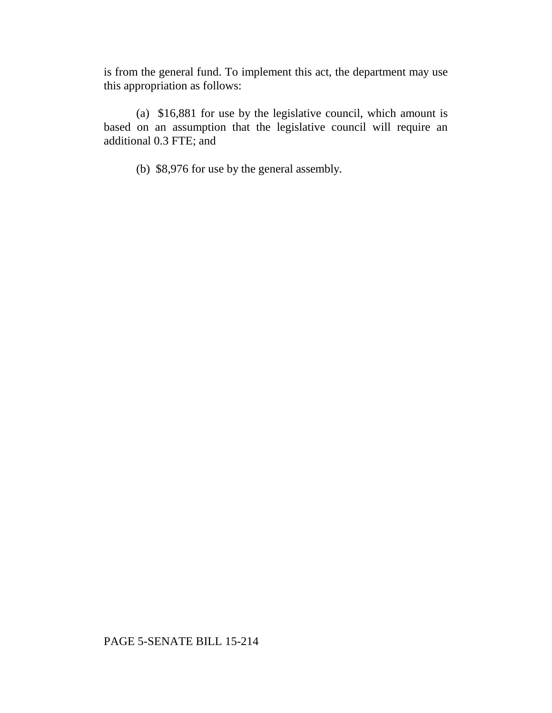is from the general fund. To implement this act, the department may use this appropriation as follows:

(a) \$16,881 for use by the legislative council, which amount is based on an assumption that the legislative council will require an additional 0.3 FTE; and

(b) \$8,976 for use by the general assembly.